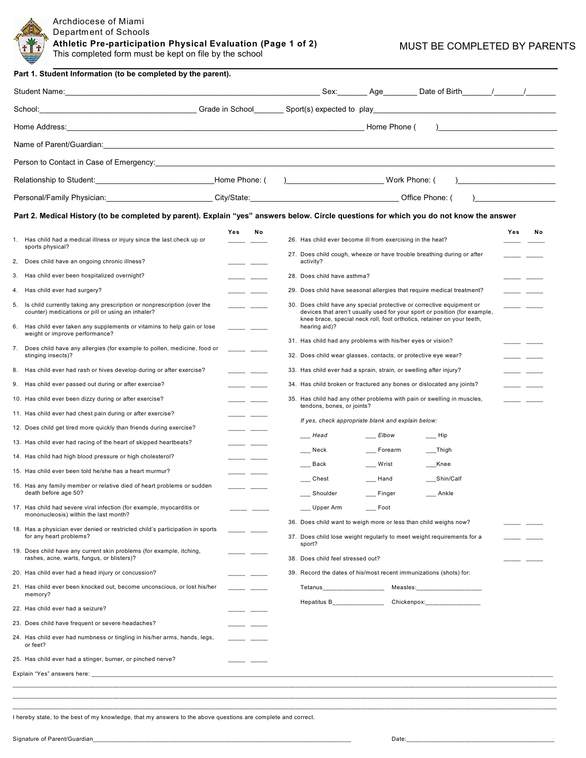

**Athletic Pre-participation Physical Evaluation (Page 1 of 2)** This completed form must be kept on file by the school

MUST BE COMPLETED BY PARENTS

|                                                                                                                               |               | Sex: Age Date of Birth / /                                                                                                                                                                                                                                     |  |  |  |
|-------------------------------------------------------------------------------------------------------------------------------|---------------|----------------------------------------------------------------------------------------------------------------------------------------------------------------------------------------------------------------------------------------------------------------|--|--|--|
|                                                                                                                               |               | School: Chool: Chool: Chool Chool Chool Chool Chool Chool Chool Chool Chool: Chool: Chool: Chool: Chool: Chool: Chool: Chool: Chool: Chool: Chool: Chool: Chool: Chool: Chool: Chool: Chool: Chool: Chool: Chool: Chool: Chool                                 |  |  |  |
|                                                                                                                               |               | $\overline{a}$                                                                                                                                                                                                                                                 |  |  |  |
|                                                                                                                               |               |                                                                                                                                                                                                                                                                |  |  |  |
|                                                                                                                               |               |                                                                                                                                                                                                                                                                |  |  |  |
| Relationship to Student: ___________________________________Home Phone: ( )______________________________Work Phone: (        |               |                                                                                                                                                                                                                                                                |  |  |  |
|                                                                                                                               |               | Personal/Family Physician: City/State: City/State: City/State: City/State: City/State: City Ann and City Chice Phone: (                                                                                                                                        |  |  |  |
|                                                                                                                               |               |                                                                                                                                                                                                                                                                |  |  |  |
|                                                                                                                               |               | Part 2. Medical History (to be completed by parent). Explain "yes" answers below. Circle questions for which you do not know the answer                                                                                                                        |  |  |  |
| 1. Has child had a medical illness or injury since the last check up or<br>sports physical?                                   | Yes<br>Νo     | Yes<br>No<br>26. Has child ever become ill from exercising in the heat?                                                                                                                                                                                        |  |  |  |
| Does child have an ongoing chronic illness?<br>2,                                                                             |               | 27. Does child cough, wheeze or have trouble breathing during or after<br>activity?                                                                                                                                                                            |  |  |  |
| Has child ever been hospitalized overnight?<br>3.                                                                             |               | 28. Does child have asthma?                                                                                                                                                                                                                                    |  |  |  |
| 4. Has child ever had surgery?                                                                                                |               | 29. Does child have seasonal allergies that require medical treatment?                                                                                                                                                                                         |  |  |  |
| 5. Is child currently taking any prescription or nonprescription (over the                                                    | المسترد المنا | 30. Does child have any special protective or corrective equipment or<br>مستر المسترد                                                                                                                                                                          |  |  |  |
| counter) medications or pill or using an inhaler?<br>6. Has child ever taken any supplements or vitamins to help gain or lose |               | devices that aren't usually used for your sport or position (for example,<br>knee brace, special neck roll, foot orthotics, retainer on your teeth,<br>hearing aid)?                                                                                           |  |  |  |
| weight or improve performance?                                                                                                |               | 31. Has child had any problems with his/her eyes or vision?                                                                                                                                                                                                    |  |  |  |
| 7. Does child have any allergies (for example to pollen, medicine, food or<br>stinging insects)?                              |               | 32. Does child wear glasses, contacts, or protective eye wear?<br>-- -                                                                                                                                                                                         |  |  |  |
| 8. Has child ever had rash or hives develop during or after exercise?                                                         |               | 33. Has child ever had a sprain, strain, or swelling after injury?                                                                                                                                                                                             |  |  |  |
| 9. Has child ever passed out during or after exercise?                                                                        |               | 34. Has child broken or fractured any bones or dislocated any joints?                                                                                                                                                                                          |  |  |  |
| 10. Has child ever been dizzy during or after exercise?                                                                       |               | 35. Has child had any other problems with pain or swelling in muscles,                                                                                                                                                                                         |  |  |  |
| 11. Has child ever had chest pain during or after exercise?                                                                   |               | tendons, bones, or joints?                                                                                                                                                                                                                                     |  |  |  |
| 12. Does child get tired more quickly than friends during exercise?                                                           |               | If yes, check appropriate blank and explain below:                                                                                                                                                                                                             |  |  |  |
| 13. Has child ever had racing of the heart of skipped heartbeats?                                                             |               | Head<br>Elbow<br>$\equiv$ Hip                                                                                                                                                                                                                                  |  |  |  |
| 14. Has child had high blood pressure or high cholesterol?                                                                    |               | Neck<br>Forearm<br>___Thigh                                                                                                                                                                                                                                    |  |  |  |
| 15. Has child ever been told he/she has a heart murmur?                                                                       |               | Back<br>Wrist<br>Knee                                                                                                                                                                                                                                          |  |  |  |
| 16. Has any family member or relative died of heart problems or sudden<br>death before age 50?                                |               | Hand<br>Chest<br>Shin/Calf<br>Shoulder<br>___ Finger<br>Ankle                                                                                                                                                                                                  |  |  |  |
| 17. Has child had severe viral infection (for example, myocarditis or                                                         |               | Upper Arm<br>Foot                                                                                                                                                                                                                                              |  |  |  |
| mononucleosis) within the last month?                                                                                         |               | 36. Does child want to weigh more or less than child weighs now?                                                                                                                                                                                               |  |  |  |
| 18. Has a physician ever denied or restricted child's participation in sports<br>for any heart problems?                      |               | 37. Does child lose weight regularly to meet weight requirements for a                                                                                                                                                                                         |  |  |  |
| 19. Does child have any current skin problems (for example, itching,<br>rashes, acne, warts, fungus, or blisters)?            |               | sport?<br>38. Does child feel stressed out?                                                                                                                                                                                                                    |  |  |  |
| 20. Has child ever had a head injury or concussion?                                                                           |               | 39. Record the dates of his/most recent immunizations (shots) for:                                                                                                                                                                                             |  |  |  |
| 21. Has child ever been knocked out, become unconscious, or lost his/her<br>memory?                                           |               | Tetanus_____________________<br>Measles: the contract of the contract of the contract of the contract of the contract of the contract of the contract of the contract of the contract of the contract of the contract of the contract of the contract of the c |  |  |  |
| 22. Has child ever had a seizure?                                                                                             |               | Hepatitus B_______________<br>Chickenpox: The chicken of the control of the control of the control of the control of the control of the control of the control of the control of the control of the control of the control of the control of the control of    |  |  |  |
| 23. Does child have frequent or severe headaches?                                                                             |               |                                                                                                                                                                                                                                                                |  |  |  |
| 24. Has child ever had numbness or tingling in his/her arms, hands, legs,<br>or feet?                                         |               |                                                                                                                                                                                                                                                                |  |  |  |
| 25. Has child ever had a stinger, burner, or pinched nerve?                                                                   |               |                                                                                                                                                                                                                                                                |  |  |  |
|                                                                                                                               |               |                                                                                                                                                                                                                                                                |  |  |  |

I hereby state, to the best of my knowledge, that my answers to the above questions are complete and correct.